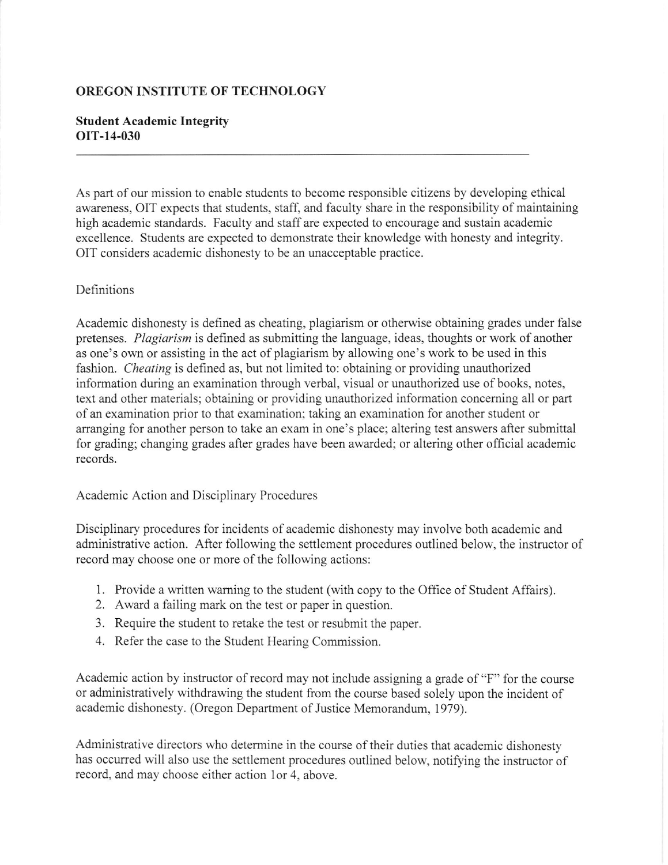## OREGON INSTITUTE OF TECHNOLOGY

### Student Academic Integrity oIT-14-030

As part of our mission to enable students to become responsible citizens by developing ethical awareness, OIT expects that students, staff, and faculty share in the responsibility of maintaining high academic standards. Faculty and staff are expected to encourage and sustain academic excellence. Students are expected to demonstrate their knowledge with honesty and integrity. OIT considers academic dishonesty to be an unacceptable practice.

### Definitions

Academic dishonesty is defined as cheating, plagiarism or otherwise obtaining grades under false pretenses. Plagiarism is defined as submitting the language, ideas, thoughts or work of another as one's own or assisting in the act of plagiarism by allowing one's work to be used in this fashion. Cheating is defined as, but not limited to: obtaining or providing unauthorized information during an examination through verbal, visual or unauthorized use of books, notes, text and other materials; obtaining or providing unauthorized information conceming all or part of an examination prior to that examination; taking an examination for another student or arranging for another person to take an exam in one's place; altering test answers after submittal for grading; changing grades after grades have been awarded; or altering other official academic records.

#### Academic Action and Disciplinary Procedures

Disciplinary procedures for incidents of academic dishonesty may involve both academic and administrative action. After following the settlement procedures outlined below, the instructor of record may choose one or more of the following actions:

- 1. Provide a written waming to the student (with copy to the Office of Student Affairs)
- 2. Award a failing mark on the test or paper in question.
- 3. Require the student to retake the test or resubmit the paper.
- 4. Refer the case to the Student Hearing Commission.

Academic action by instructor of record may not include assigning a grade of "F" for the course or administratively withdrawing the student from the course based solely upon the incident of academic dishonesty. (Oregon Department of Justice Memorandum, 1979).

Administrative directors who determine in the course of their duties that academic dishonesty has occurred will also use the settlement procedures outlined below, notifying the instructor of record, and may choose either action lor 4, above.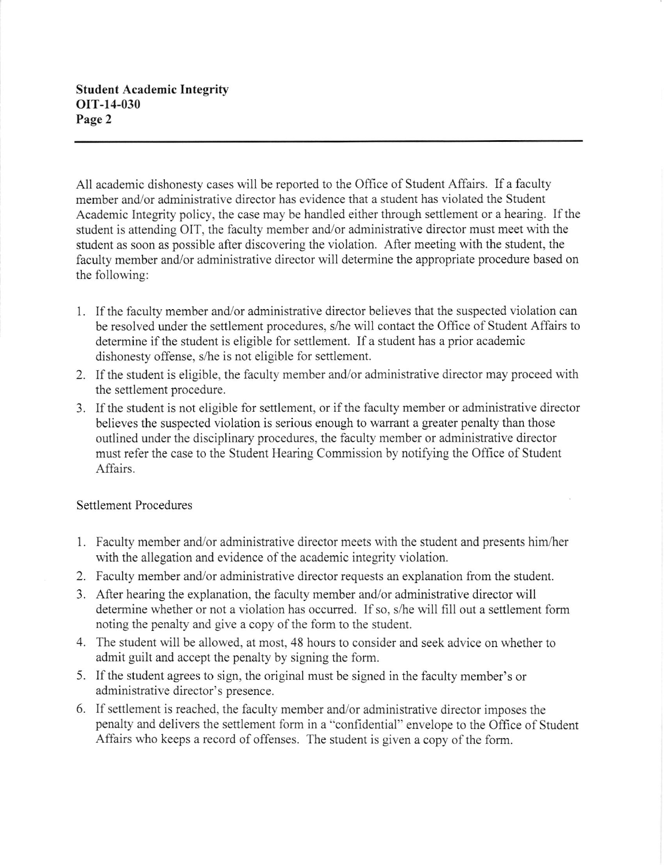All academic dishonesty cases will be reported to the Office of Student Affairs. If a faculty member and/or administrative director has evidence that a student has violated the Student Academic Integrity policy, the case may be handled either through settlement or a hearing. If the student is attending OIT, the faculty member and/or administrative director must meet with the student as soon as possible after discovering the violation. After meeting with the student, the faculty member and/or administrative director will determine the appropriate procedure based on the following:

- <sup>1</sup>. If the faculty member and/or administrative director believes that the suspected violation can be resolved under the settlement procedures, s/he will contact the Office of Student Affairs to determine if the student is eligible for settlement. If a student has a prior academic dishonesty offense, s/he is not eligible for settlement.
- 2. If the student is eligible, the faculty member and/or administrative director may proceed with the settlement procedure.
- 3. If the student is not eligible for settlement, or if the faculty member or administrative director believes the suspected violation is serious enough to warant a greater penalty than those outlined under the disciplinary procedures, the faculty member or administrative director must refer the case to the Student Hearing Commission by notifying the Office of Student Affairs.

# Settlement Procedures

- l. Faculty member and/or administrative director meets with the student and presents him,/her with the allegation and evidence of the academic integrity violation.
- 2. Faculty member and/or administrative director requests an explanation from the student.
- 3. After hearing the explanation, the faculty member and/or administrative director will determine whether or not a violation has occurred. If so, s/he will fill out a settlement form noting the penalty and give a copy of the form to the student.
- 4. The student will be allowed, at most, 48 hours to consider and seek advice on whether to admit guilt and accept the penalty by signing the form.
- 5. If the student agrees to sign, the original must be signed in the faculty member's or administrative director's presence.
- 6. If settlement is reached, the faculty member and/or administrative director imposes the penalty and delivers the settlement form in a "confidential" envelope to the Office of Student Affairs who keeps a record of offenses. The student is given a copy of the form.